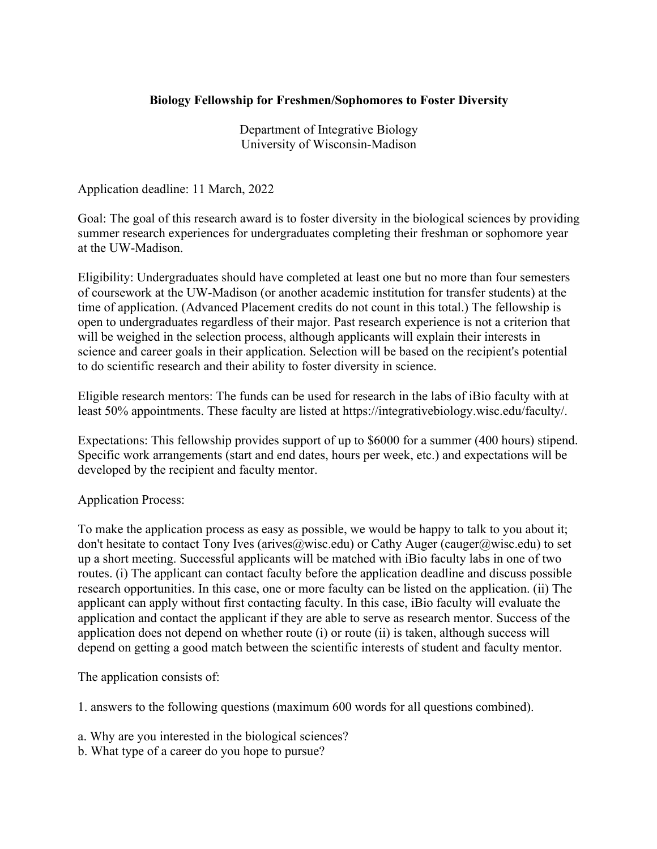## **Biology Fellowship for Freshmen/Sophomores to Foster Diversity**

Department of Integrative Biology University of Wisconsin-Madison

Application deadline: 11 March, 2022

Goal: The goal of this research award is to foster diversity in the biological sciences by providing summer research experiences for undergraduates completing their freshman or sophomore year at the UW-Madison.

Eligibility: Undergraduates should have completed at least one but no more than four semesters of coursework at the UW-Madison (or another academic institution for transfer students) at the time of application. (Advanced Placement credits do not count in this total.) The fellowship is open to undergraduates regardless of their major. Past research experience is not a criterion that will be weighed in the selection process, although applicants will explain their interests in science and career goals in their application. Selection will be based on the recipient's potential to do scientific research and their ability to foster diversity in science.

Eligible research mentors: The funds can be used for research in the labs of iBio faculty with at least 50% appointments. These faculty are listed at https://integrativebiology.wisc.edu/faculty/.

Expectations: This fellowship provides support of up to \$6000 for a summer (400 hours) stipend. Specific work arrangements (start and end dates, hours per week, etc.) and expectations will be developed by the recipient and faculty mentor.

## Application Process:

To make the application process as easy as possible, we would be happy to talk to you about it; don't hesitate to contact Tony Ives (arives@wisc.edu) or Cathy Auger (cauger@wisc.edu) to set up a short meeting. Successful applicants will be matched with iBio faculty labs in one of two routes. (i) The applicant can contact faculty before the application deadline and discuss possible research opportunities. In this case, one or more faculty can be listed on the application. (ii) The applicant can apply without first contacting faculty. In this case, iBio faculty will evaluate the application and contact the applicant if they are able to serve as research mentor. Success of the application does not depend on whether route (i) or route (ii) is taken, although success will depend on getting a good match between the scientific interests of student and faculty mentor.

The application consists of:

1. answers to the following questions (maximum 600 words for all questions combined).

a. Why are you interested in the biological sciences?

b. What type of a career do you hope to pursue?